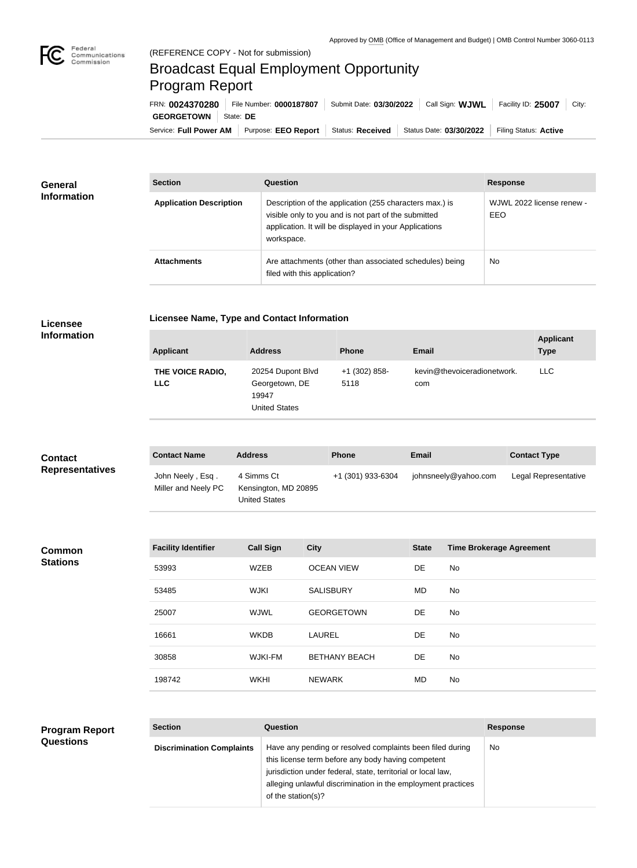

## Broadcast Equal Employment Opportunity Program Report

Service: Full Power AM | Purpose: EEO Report | Status: Received | Status Date: 03/30/2022 | Filing Status: Active **GEORGETOWN** State: DE FRN: **0024370280** File Number: **0000187807** Submit Date: **03/30/2022** Call Sign: **WJWL** Facility ID: **25007** City:

| <b>General</b>     | <b>Section</b>                 | Question                                                                                                                                                                                | <b>Response</b>                  |
|--------------------|--------------------------------|-----------------------------------------------------------------------------------------------------------------------------------------------------------------------------------------|----------------------------------|
| <b>Information</b> | <b>Application Description</b> | Description of the application (255 characters max.) is<br>visible only to you and is not part of the submitted<br>application. It will be displayed in your Applications<br>workspace. | WJWL 2022 license renew -<br>EEO |
|                    | <b>Attachments</b>             | Are attachments (other than associated schedules) being<br>filed with this application?                                                                                                 | <b>No</b>                        |

## **Licensee Information**

|  |  | <b>Licensee Name, Type and Contact Information</b> |
|--|--|----------------------------------------------------|

| <b>Applicant</b>               | <b>Address</b>                                                       | <b>Phone</b>          | <b>Email</b>                       | <b>Applicant</b><br><b>Type</b> |
|--------------------------------|----------------------------------------------------------------------|-----------------------|------------------------------------|---------------------------------|
| THE VOICE RADIO,<br><b>LLC</b> | 20254 Dupont Blvd<br>Georgetown, DE<br>19947<br><b>United States</b> | +1 (302) 858-<br>5118 | kevin@thevoiceradionetwork.<br>com | <b>LLC</b>                      |

| <b>Contact</b>         | <b>Contact Name</b>                     | <b>Address</b>                                             | <b>Phone</b>      | <b>Email</b>         | <b>Contact Type</b>  |
|------------------------|-----------------------------------------|------------------------------------------------------------|-------------------|----------------------|----------------------|
| <b>Representatives</b> | John Neely, Esq.<br>Miller and Neely PC | 4 Simms Ct<br>Kensington, MD 20895<br><b>United States</b> | +1 (301) 933-6304 | johnsneely@yahoo.com | Legal Representative |

| <b>Common</b>   | <b>Facility Identifier</b> | <b>Call Sign</b> | <b>City</b>          | <b>State</b> | <b>Time Brokerage Agreement</b> |
|-----------------|----------------------------|------------------|----------------------|--------------|---------------------------------|
| <b>Stations</b> | 53993                      | <b>WZEB</b>      | <b>OCEAN VIEW</b>    | DE           | No                              |
|                 | 53485                      | <b>WJKI</b>      | <b>SALISBURY</b>     | <b>MD</b>    | No                              |
|                 | 25007                      | WJWL             | <b>GEORGETOWN</b>    | DE           | No                              |
|                 | 16661                      | <b>WKDB</b>      | <b>LAUREL</b>        | DE           | No                              |
|                 | 30858                      | <b>WJKI-FM</b>   | <b>BETHANY BEACH</b> | DE           | No                              |
|                 | 198742                     | <b>WKHI</b>      | <b>NEWARK</b>        | <b>MD</b>    | No                              |

| <b>Program Report</b> | <b>Section</b>                   | <b>Question</b>                                                                                                                                                                                                                                                       | <b>Response</b> |
|-----------------------|----------------------------------|-----------------------------------------------------------------------------------------------------------------------------------------------------------------------------------------------------------------------------------------------------------------------|-----------------|
| <b>Questions</b>      | <b>Discrimination Complaints</b> | Have any pending or resolved complaints been filed during<br>this license term before any body having competent<br>jurisdiction under federal, state, territorial or local law,<br>alleging unlawful discrimination in the employment practices<br>of the station(s)? | No.             |